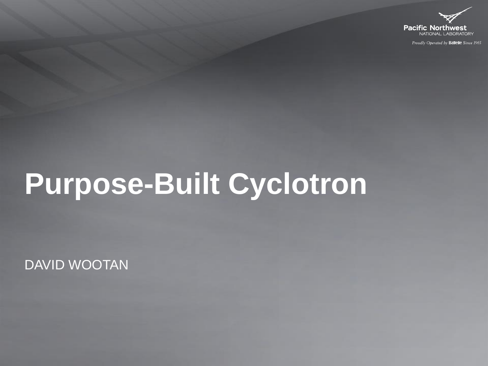

Proudly Operated by Battelle Since 1965

# **Purpose-Built Cyclotron**

DAVID WOOTAN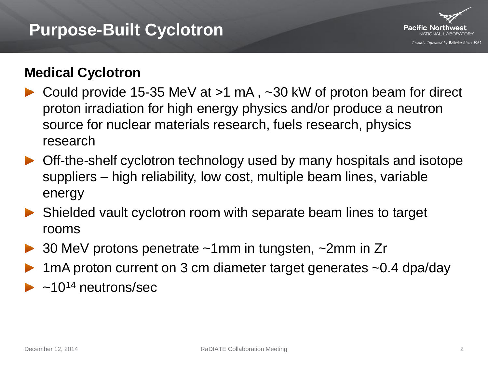#### **Purpose-Built Cyclotron**



#### **Medical Cyclotron**

- Could provide 15-35 MeV at >1 mA , ~30 kW of proton beam for direct proton irradiation for high energy physics and/or produce a neutron source for nuclear materials research, fuels research, physics research
- ▶ Off-the-shelf cyclotron technology used by many hospitals and isotope suppliers – high reliability, low cost, multiple beam lines, variable energy
- Shielded vault cyclotron room with separate beam lines to target rooms
- 30 MeV protons penetrate ~1mm in tungsten, ~2mm in Zr
- 1mA proton current on 3 cm diameter target generates ~0.4 dpa/day
- $\sim$ 10<sup>14</sup> neutrons/sec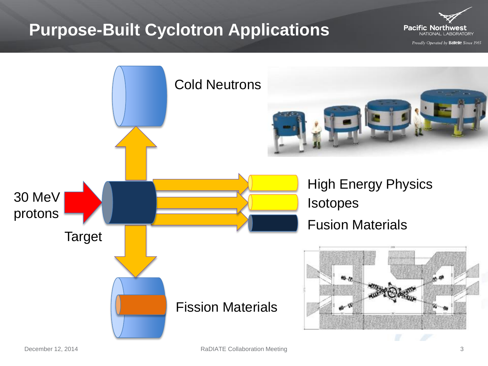### **Purpose-Built Cyclotron Applications**

**Pacific Northwest** NATIONAL LABORATORY

Proudly Operated by Battelle Since 1965

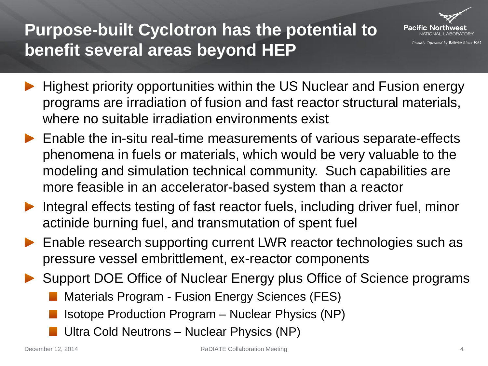## **Purpose-built Cyclotron has the potential to benefit several areas beyond HEP**



- Highest priority opportunities within the US Nuclear and Fusion energy programs are irradiation of fusion and fast reactor structural materials, where no suitable irradiation environments exist
- ▶ Enable the in-situ real-time measurements of various separate-effects phenomena in fuels or materials, which would be very valuable to the modeling and simulation technical community. Such capabilities are more feasible in an accelerator-based system than a reactor
- Integral effects testing of fast reactor fuels, including driver fuel, minor actinide burning fuel, and transmutation of spent fuel
- ▶ Enable research supporting current LWR reactor technologies such as pressure vessel embrittlement, ex-reactor components
- Support DOE Office of Nuclear Energy plus Office of Science programs
	- Materials Program Fusion Energy Sciences (FES)
	- Isotope Production Program Nuclear Physics (NP)
	- Ultra Cold Neutrons Nuclear Physics (NP)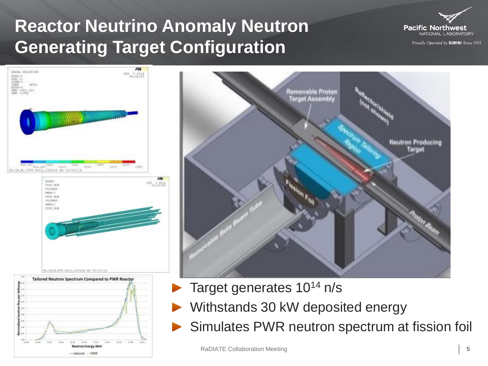# **Reactor Neutrino Anomaly Neutron Generating Target Configuration**



Proudly Operated by Battelle Since 1965





- Target generates 10<sup>14</sup> n/s
- Withstands 30 kW deposited energy
- Simulates PWR neutron spectrum at fission foil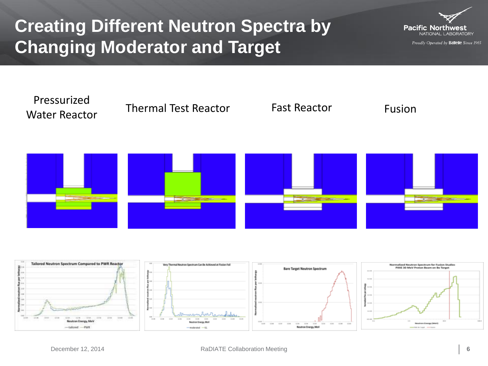# **Creating Different Neutron Spectra by Changing Moderator and Target**



Proudly Operated by Battelle Since 1965